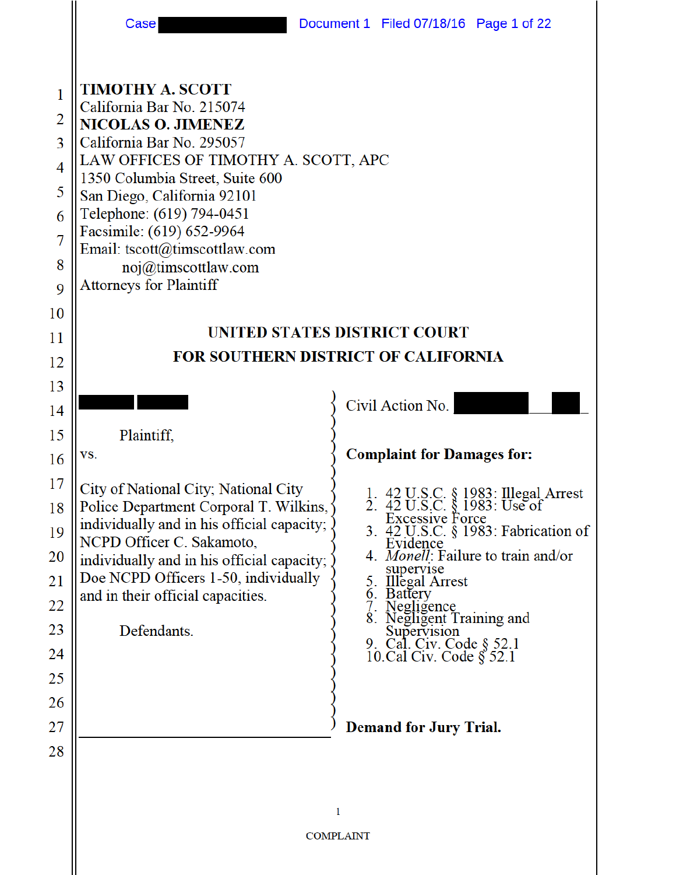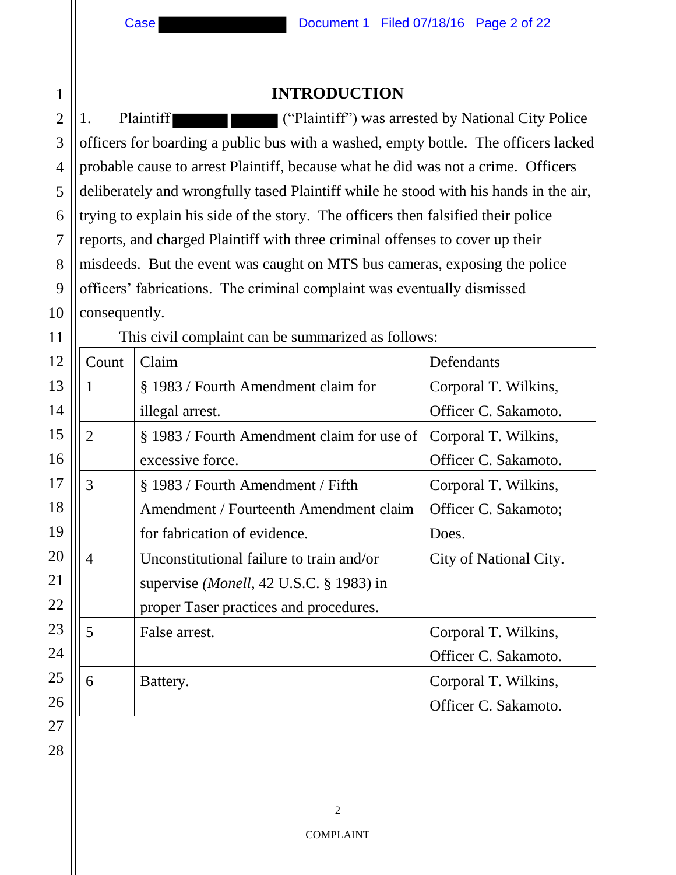## **INTRODUCTION**

2 3 4 5 6 7 8 9 10 1. Plaintiff ("Plaintiff") was arrested by National City Police officers for boarding a public bus with a washed, empty bottle. The officers lacked probable cause to arrest Plaintiff, because what he did was not a crime. Officers deliberately and wrongfully tased Plaintiff while he stood with his hands in the air, trying to explain his side of the story. The officers then falsified their police reports, and charged Plaintiff with three criminal offenses to cover up their misdeeds. But the event was caught on MTS bus cameras, exposing the police officers' fabrications. The criminal complaint was eventually dismissed consequently.

| 11 | This civil complaint can be summarized as follows: |                                                |                        |  |
|----|----------------------------------------------------|------------------------------------------------|------------------------|--|
| 12 | Count                                              | Claim                                          | Defendants             |  |
| 13 |                                                    | § 1983 / Fourth Amendment claim for            | Corporal T. Wilkins,   |  |
| 14 |                                                    | illegal arrest.                                | Officer C. Sakamoto.   |  |
| 15 | $\overline{2}$                                     | § 1983 / Fourth Amendment claim for use of     | Corporal T. Wilkins,   |  |
| 16 |                                                    | excessive force.                               | Officer C. Sakamoto.   |  |
| 17 | 3                                                  | § 1983 / Fourth Amendment / Fifth              | Corporal T. Wilkins,   |  |
| 18 |                                                    | Amendment / Fourteenth Amendment claim         | Officer C. Sakamoto;   |  |
| 19 |                                                    | for fabrication of evidence.                   | Does.                  |  |
| 20 | $\overline{4}$                                     | Unconstitutional failure to train and/or       | City of National City. |  |
| 21 |                                                    | supervise <i>(Monell, 42 U.S.C.</i> § 1983) in |                        |  |
| 22 |                                                    | proper Taser practices and procedures.         |                        |  |
| 23 | 5                                                  | False arrest.                                  | Corporal T. Wilkins,   |  |
| 24 |                                                    |                                                | Officer C. Sakamoto.   |  |
| 25 | 6                                                  | Battery.                                       | Corporal T. Wilkins,   |  |
| 26 |                                                    |                                                | Officer C. Sakamoto.   |  |
| 27 |                                                    |                                                |                        |  |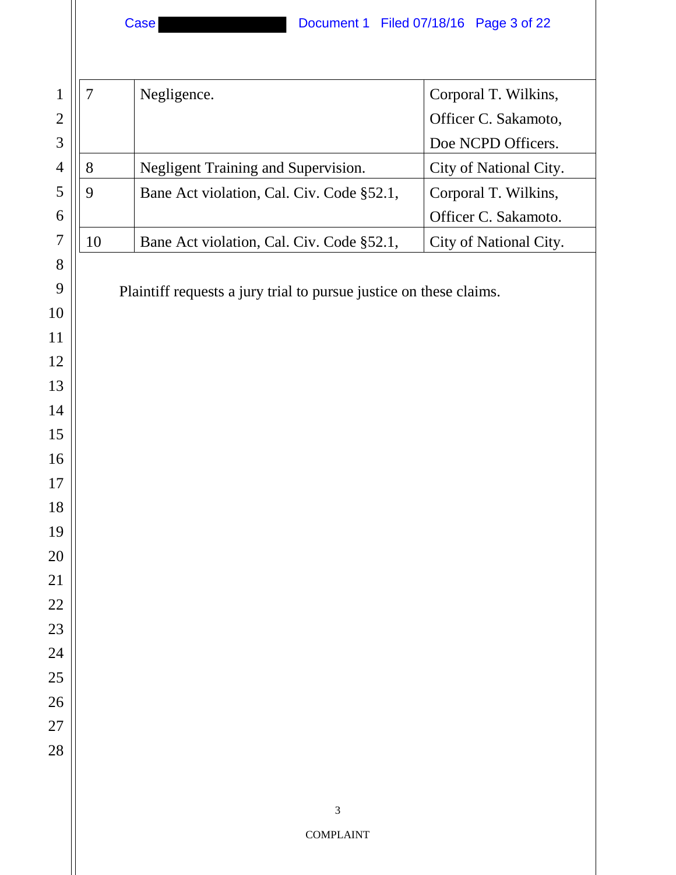| 1              | $\overline{7}$ | Negligence.                                                        | Corporal T. Wilkins,   |
|----------------|----------------|--------------------------------------------------------------------|------------------------|
| $\overline{2}$ |                |                                                                    | Officer C. Sakamoto,   |
| $\mathfrak{Z}$ |                |                                                                    | Doe NCPD Officers.     |
| $\overline{4}$ | 8              | Negligent Training and Supervision.                                | City of National City. |
| 5              | 9              | Bane Act violation, Cal. Civ. Code §52.1,                          | Corporal T. Wilkins,   |
| 6              |                |                                                                    | Officer C. Sakamoto.   |
| $\overline{7}$ | 10             | Bane Act violation, Cal. Civ. Code §52.1,                          | City of National City. |
| 8              |                |                                                                    |                        |
| 9              |                | Plaintiff requests a jury trial to pursue justice on these claims. |                        |
| 10             |                |                                                                    |                        |
| 11             |                |                                                                    |                        |
| 12             |                |                                                                    |                        |
| 13             |                |                                                                    |                        |
| 14             |                |                                                                    |                        |
| 15             |                |                                                                    |                        |
| 16             |                |                                                                    |                        |
| 17             |                |                                                                    |                        |
| 18             |                |                                                                    |                        |
| 19             |                |                                                                    |                        |
| 20             |                |                                                                    |                        |
| 21             |                |                                                                    |                        |
| 22             |                |                                                                    |                        |
| 23             |                |                                                                    |                        |
| 24             |                |                                                                    |                        |
| 25<br>26       |                |                                                                    |                        |
| 27             |                |                                                                    |                        |
| 28             |                |                                                                    |                        |
|                |                |                                                                    |                        |
|                |                |                                                                    |                        |
|                |                | $\mathfrak{Z}$                                                     |                        |
|                |                | <b>COMPLAINT</b>                                                   |                        |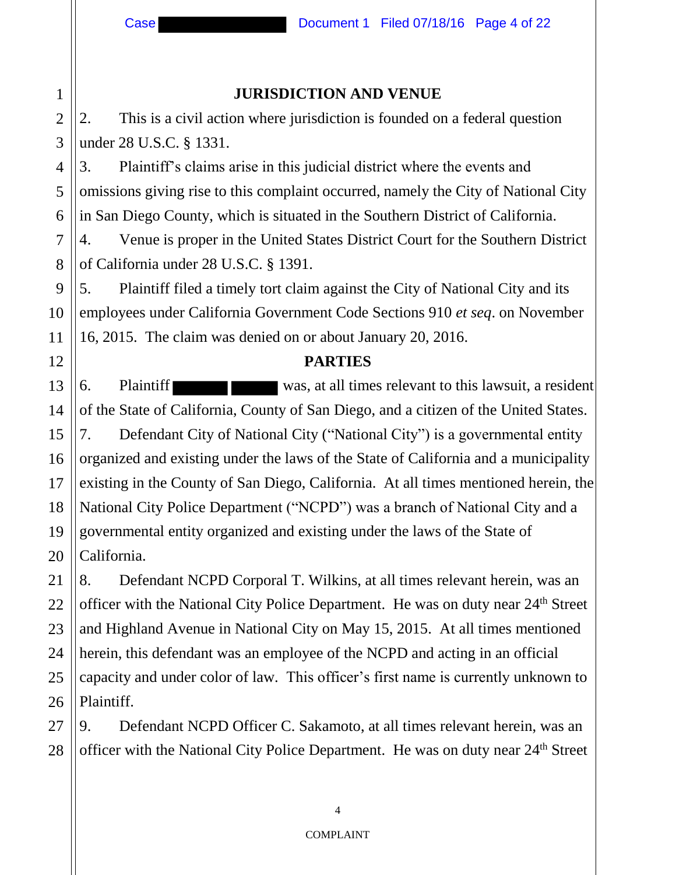#### **JURISDICTION AND VENUE**

2. This is a civil action where jurisdiction is founded on a federal question under 28 U.S.C. § 1331.

3. Plaintiff's claims arise in this judicial district where the events and omissions giving rise to this complaint occurred, namely the City of National City in San Diego County, which is situated in the Southern District of California.

4. Venue is proper in the United States District Court for the Southern District of California under 28 U.S.C. § 1391.

5. Plaintiff filed a timely tort claim against the City of National City and its employees under California Government Code Sections 910 *et seq*. on November 16, 2015. The claim was denied on or about January 20, 2016.

#### **PARTIES**

6. Plaintiff was, at all times relevant to this lawsuit, a resident of the State of California, County of San Diego, and a citizen of the United States. 7. Defendant City of National City ("National City") is a governmental entity organized and existing under the laws of the State of California and a municipality existing in the County of San Diego, California. At all times mentioned herein, the National City Police Department ("NCPD") was a branch of National City and a governmental entity organized and existing under the laws of the State of California.

8. Defendant NCPD Corporal T. Wilkins, at all times relevant herein, was an officer with the National City Police Department. He was on duty near 24th Street and Highland Avenue in National City on May 15, 2015. At all times mentioned herein, this defendant was an employee of the NCPD and acting in an official capacity and under color of law. This officer's first name is currently unknown to Plaintiff.

9. Defendant NCPD Officer C. Sakamoto, at all times relevant herein, was an officer with the National City Police Department. He was on duty near 24th Street

1

2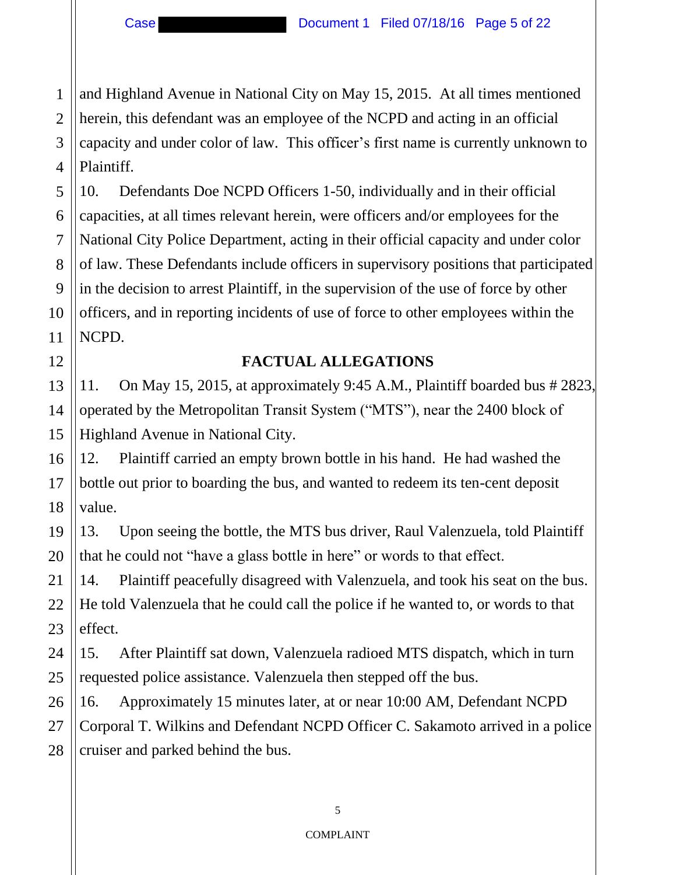and Highland Avenue in National City on May 15, 2015. At all times mentioned herein, this defendant was an employee of the NCPD and acting in an official capacity and under color of law. This officer's first name is currently unknown to Plaintiff.

10. Defendants Doe NCPD Officers 1-50, individually and in their official capacities, at all times relevant herein, were officers and/or employees for the National City Police Department, acting in their official capacity and under color of law. These Defendants include officers in supervisory positions that participated in the decision to arrest Plaintiff, in the supervision of the use of force by other officers, and in reporting incidents of use of force to other employees within the NCPD.

### **FACTUAL ALLEGATIONS**

11. On May 15, 2015, at approximately 9:45 A.M., Plaintiff boarded bus # 2823, operated by the Metropolitan Transit System ("MTS"), near the 2400 block of Highland Avenue in National City.

12. Plaintiff carried an empty brown bottle in his hand. He had washed the bottle out prior to boarding the bus, and wanted to redeem its ten-cent deposit value.

13. Upon seeing the bottle, the MTS bus driver, Raul Valenzuela, told Plaintiff that he could not "have a glass bottle in here" or words to that effect.

14. Plaintiff peacefully disagreed with Valenzuela, and took his seat on the bus. He told Valenzuela that he could call the police if he wanted to, or words to that effect.

15. After Plaintiff sat down, Valenzuela radioed MTS dispatch, which in turn requested police assistance. Valenzuela then stepped off the bus.

16. Approximately 15 minutes later, at or near 10:00 AM, Defendant NCPD Corporal T. Wilkins and Defendant NCPD Officer C. Sakamoto arrived in a police cruiser and parked behind the bus.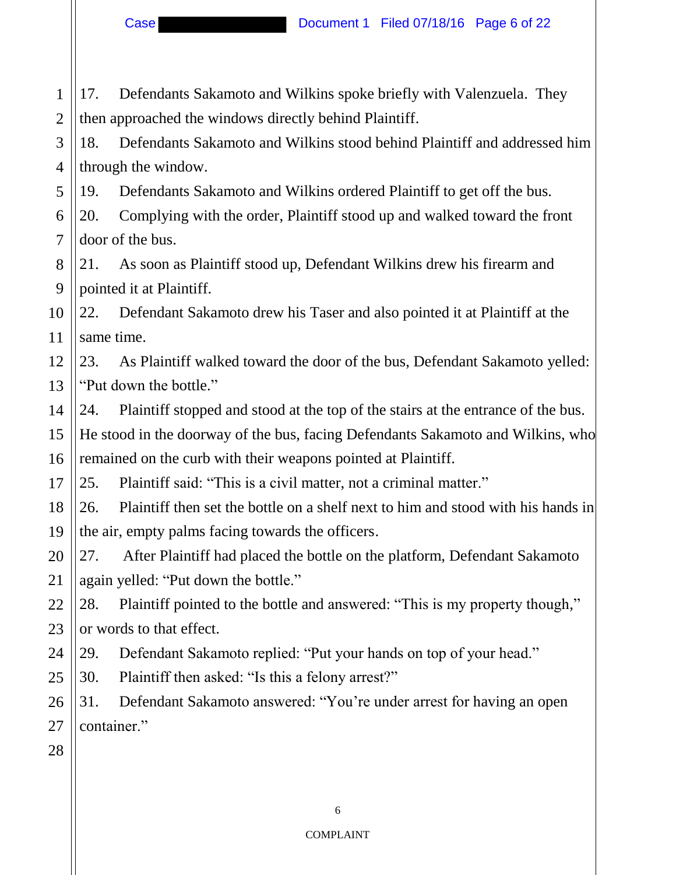Case **Document 1 Filed 07/18/16 Page 6 of 22** 

1 2 3 17. Defendants Sakamoto and Wilkins spoke briefly with Valenzuela. They then approached the windows directly behind Plaintiff.

4 18. Defendants Sakamoto and Wilkins stood behind Plaintiff and addressed him through the window.

5 19. Defendants Sakamoto and Wilkins ordered Plaintiff to get off the bus.

6 7 20. Complying with the order, Plaintiff stood up and walked toward the front door of the bus.

8 9 21. As soon as Plaintiff stood up, Defendant Wilkins drew his firearm and pointed it at Plaintiff.

10 11 22. Defendant Sakamoto drew his Taser and also pointed it at Plaintiff at the same time.

12 13 23. As Plaintiff walked toward the door of the bus, Defendant Sakamoto yelled: "Put down the bottle."

14 15 16 24. Plaintiff stopped and stood at the top of the stairs at the entrance of the bus. He stood in the doorway of the bus, facing Defendants Sakamoto and Wilkins, who remained on the curb with their weapons pointed at Plaintiff.

17 25. Plaintiff said: "This is a civil matter, not a criminal matter."

18 19 26. Plaintiff then set the bottle on a shelf next to him and stood with his hands in the air, empty palms facing towards the officers.

20 21 27. After Plaintiff had placed the bottle on the platform, Defendant Sakamoto again yelled: "Put down the bottle."

22 23 28. Plaintiff pointed to the bottle and answered: "This is my property though," or words to that effect.

24 29. Defendant Sakamoto replied: "Put your hands on top of your head."

25 30. Plaintiff then asked: "Is this a felony arrest?"

26 27 31. Defendant Sakamoto answered: "You're under arrest for having an open container."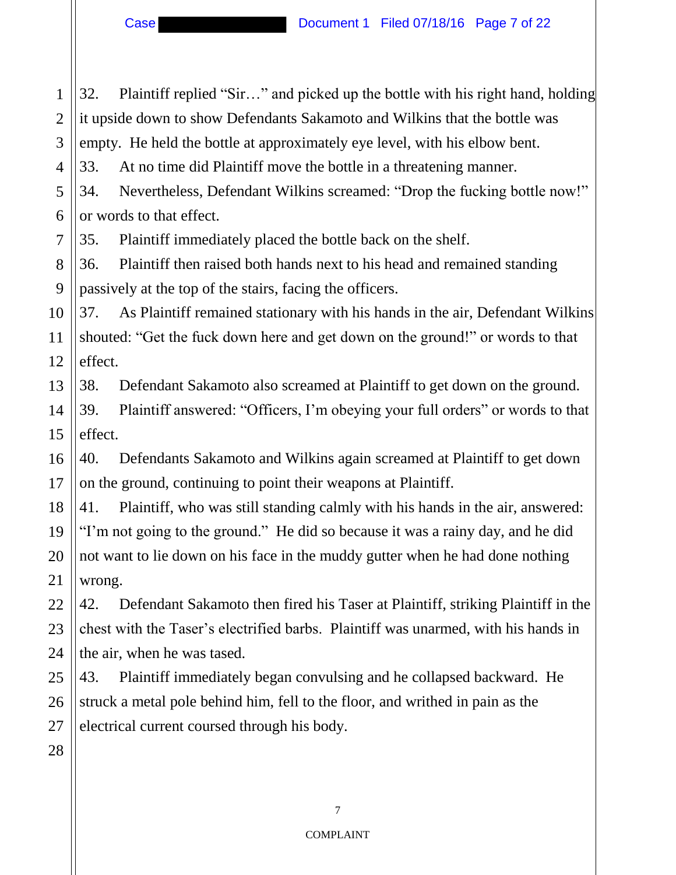1 2 3 4 5 6 7 8 9 10 11 12 13 14 15 16 17 18 19 20 21 22 23 24 25 26 27 28 32. Plaintiff replied "Sir…" and picked up the bottle with his right hand, holding it upside down to show Defendants Sakamoto and Wilkins that the bottle was empty. He held the bottle at approximately eye level, with his elbow bent. 33. At no time did Plaintiff move the bottle in a threatening manner. 34. Nevertheless, Defendant Wilkins screamed: "Drop the fucking bottle now!" or words to that effect. 35. Plaintiff immediately placed the bottle back on the shelf. 36. Plaintiff then raised both hands next to his head and remained standing passively at the top of the stairs, facing the officers. 37. As Plaintiff remained stationary with his hands in the air, Defendant Wilkins shouted: "Get the fuck down here and get down on the ground!" or words to that effect. 38. Defendant Sakamoto also screamed at Plaintiff to get down on the ground. 39. Plaintiff answered: "Officers, I'm obeying your full orders" or words to that effect. 40. Defendants Sakamoto and Wilkins again screamed at Plaintiff to get down on the ground, continuing to point their weapons at Plaintiff. 41. Plaintiff, who was still standing calmly with his hands in the air, answered: "I'm not going to the ground." He did so because it was a rainy day, and he did not want to lie down on his face in the muddy gutter when he had done nothing wrong. 42. Defendant Sakamoto then fired his Taser at Plaintiff, striking Plaintiff in the chest with the Taser's electrified barbs. Plaintiff was unarmed, with his hands in the air, when he was tased. 43. Plaintiff immediately began convulsing and he collapsed backward. He struck a metal pole behind him, fell to the floor, and writhed in pain as the electrical current coursed through his body.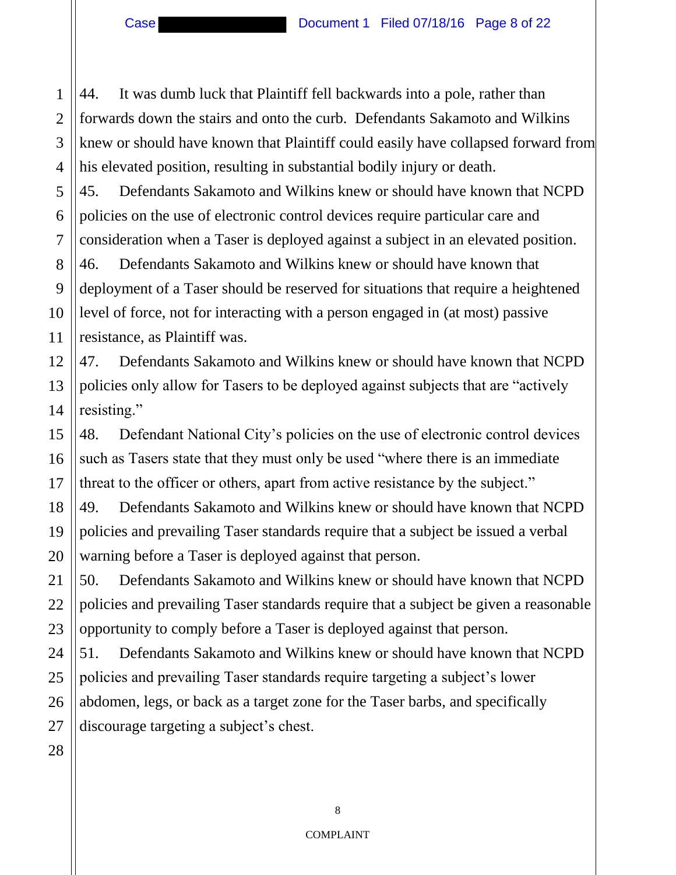2

3

4

5

6

7

11

15

16

17

18

19

20

21

44. It was dumb luck that Plaintiff fell backwards into a pole, rather than forwards down the stairs and onto the curb. Defendants Sakamoto and Wilkins knew or should have known that Plaintiff could easily have collapsed forward from his elevated position, resulting in substantial bodily injury or death.

45. Defendants Sakamoto and Wilkins knew or should have known that NCPD policies on the use of electronic control devices require particular care and consideration when a Taser is deployed against a subject in an elevated position.

8 9 10 46. Defendants Sakamoto and Wilkins knew or should have known that deployment of a Taser should be reserved for situations that require a heightened level of force, not for interacting with a person engaged in (at most) passive resistance, as Plaintiff was.

12 13 14 47. Defendants Sakamoto and Wilkins knew or should have known that NCPD policies only allow for Tasers to be deployed against subjects that are "actively resisting."

48. Defendant National City's policies on the use of electronic control devices such as Tasers state that they must only be used "where there is an immediate threat to the officer or others, apart from active resistance by the subject."

49. Defendants Sakamoto and Wilkins knew or should have known that NCPD policies and prevailing Taser standards require that a subject be issued a verbal warning before a Taser is deployed against that person.

22 23 50. Defendants Sakamoto and Wilkins knew or should have known that NCPD policies and prevailing Taser standards require that a subject be given a reasonable opportunity to comply before a Taser is deployed against that person.

24 25 51. Defendants Sakamoto and Wilkins knew or should have known that NCPD policies and prevailing Taser standards require targeting a subject's lower abdomen, legs, or back as a target zone for the Taser barbs, and specifically discourage targeting a subject's chest.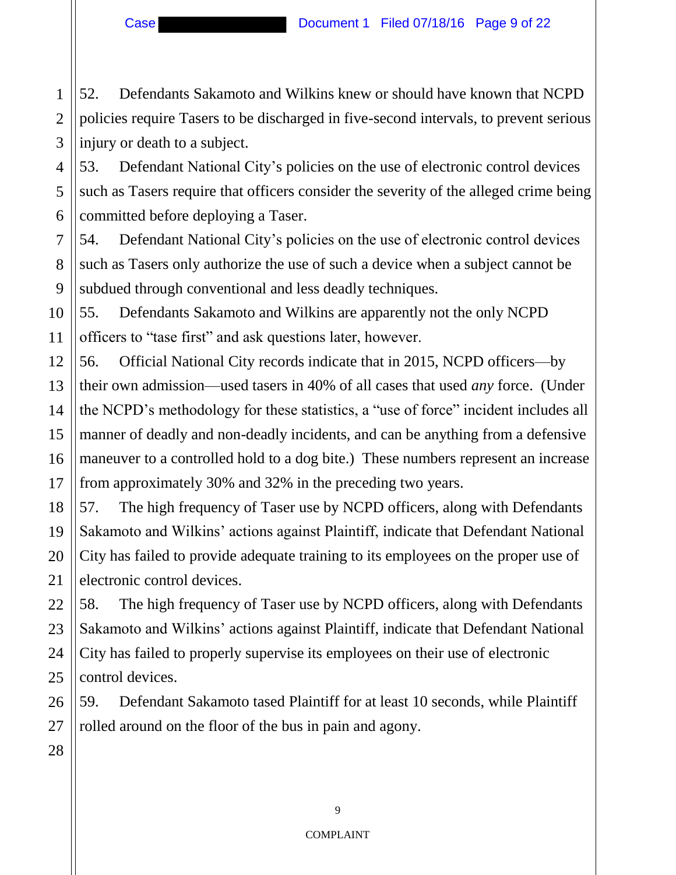Case **Document 1 Filed 07/18/16 Page 9 of 22** 

1

2

3

7

8

9

52. Defendants Sakamoto and Wilkins knew or should have known that NCPD policies require Tasers to be discharged in five-second intervals, to prevent serious injury or death to a subject.

4 5 6 53. Defendant National City's policies on the use of electronic control devices such as Tasers require that officers consider the severity of the alleged crime being committed before deploying a Taser.

54. Defendant National City's policies on the use of electronic control devices such as Tasers only authorize the use of such a device when a subject cannot be subdued through conventional and less deadly techniques.

10 11 55. Defendants Sakamoto and Wilkins are apparently not the only NCPD officers to "tase first" and ask questions later, however.

12 13 14 15 16 17 56. Official National City records indicate that in 2015, NCPD officers—by their own admission—used tasers in 40% of all cases that used *any* force. (Under the NCPD's methodology for these statistics, a "use of force" incident includes all manner of deadly and non-deadly incidents, and can be anything from a defensive maneuver to a controlled hold to a dog bite.) These numbers represent an increase from approximately 30% and 32% in the preceding two years.

18 19 20 21 57. The high frequency of Taser use by NCPD officers, along with Defendants Sakamoto and Wilkins' actions against Plaintiff, indicate that Defendant National City has failed to provide adequate training to its employees on the proper use of electronic control devices.

22 23 24 25 58. The high frequency of Taser use by NCPD officers, along with Defendants Sakamoto and Wilkins' actions against Plaintiff, indicate that Defendant National City has failed to properly supervise its employees on their use of electronic control devices.

26 27 59. Defendant Sakamoto tased Plaintiff for at least 10 seconds, while Plaintiff rolled around on the floor of the bus in pain and agony.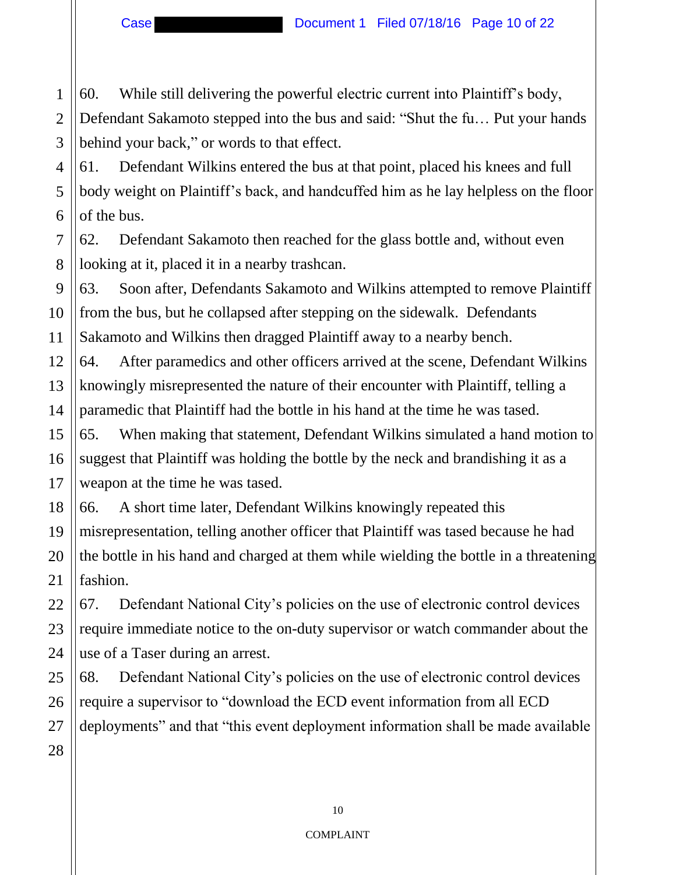$\mathcal{L}$ 3 60. While still delivering the powerful electric current into Plaintiff's body, Defendant Sakamoto stepped into the bus and said: "Shut the fu… Put your hands behind your back," or words to that effect.

4 61. Defendant Wilkins entered the bus at that point, placed his knees and full body weight on Plaintiff's back, and handcuffed him as he lay helpless on the floor of the bus.

62. Defendant Sakamoto then reached for the glass bottle and, without even looking at it, placed it in a nearby trashcan.

63. Soon after, Defendants Sakamoto and Wilkins attempted to remove Plaintiff from the bus, but he collapsed after stepping on the sidewalk. Defendants Sakamoto and Wilkins then dragged Plaintiff away to a nearby bench.

64. After paramedics and other officers arrived at the scene, Defendant Wilkins knowingly misrepresented the nature of their encounter with Plaintiff, telling a paramedic that Plaintiff had the bottle in his hand at the time he was tased.

65. When making that statement, Defendant Wilkins simulated a hand motion to suggest that Plaintiff was holding the bottle by the neck and brandishing it as a weapon at the time he was tased.

66. A short time later, Defendant Wilkins knowingly repeated this misrepresentation, telling another officer that Plaintiff was tased because he had the bottle in his hand and charged at them while wielding the bottle in a threatening fashion.

67. Defendant National City's policies on the use of electronic control devices require immediate notice to the on-duty supervisor or watch commander about the use of a Taser during an arrest.

68. Defendant National City's policies on the use of electronic control devices require a supervisor to "download the ECD event information from all ECD deployments" and that "this event deployment information shall be made available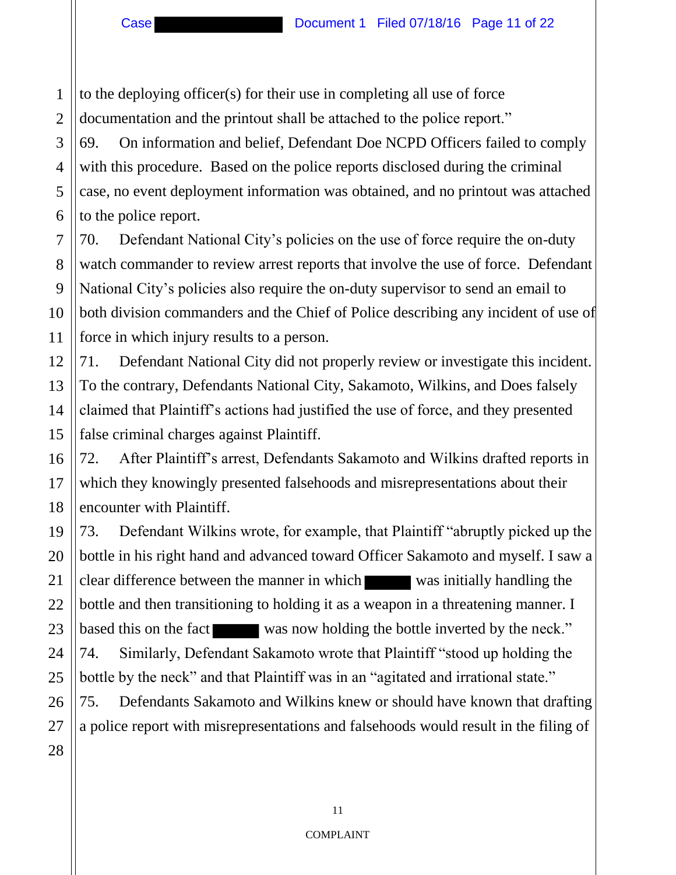1 2 to the deploying officer(s) for their use in completing all use of force documentation and the printout shall be attached to the police report."

3 4 6 69. On information and belief, Defendant Doe NCPD Officers failed to comply with this procedure. Based on the police reports disclosed during the criminal case, no event deployment information was obtained, and no printout was attached to the police report.

70. Defendant National City's policies on the use of force require the on-duty watch commander to review arrest reports that involve the use of force. Defendant National City's policies also require the on-duty supervisor to send an email to both division commanders and the Chief of Police describing any incident of use of force in which injury results to a person.

71. Defendant National City did not properly review or investigate this incident. To the contrary, Defendants National City, Sakamoto, Wilkins, and Does falsely claimed that Plaintiff's actions had justified the use of force, and they presented false criminal charges against Plaintiff.

72. After Plaintiff's arrest, Defendants Sakamoto and Wilkins drafted reports in which they knowingly presented falsehoods and misrepresentations about their encounter with Plaintiff.

73. Defendant Wilkins wrote, for example, that Plaintiff "abruptly picked up the bottle in his right hand and advanced toward Officer Sakamoto and myself. I saw a clear difference between the manner in which was initially handling the bottle and then transitioning to holding it as a weapon in a threatening manner. I based this on the fact was now holding the bottle inverted by the neck." 74. Similarly, Defendant Sakamoto wrote that Plaintiff "stood up holding the bottle by the neck" and that Plaintiff was in an "agitated and irrational state."

75. Defendants Sakamoto and Wilkins knew or should have known that drafting a police report with misrepresentations and falsehoods would result in the filing of

5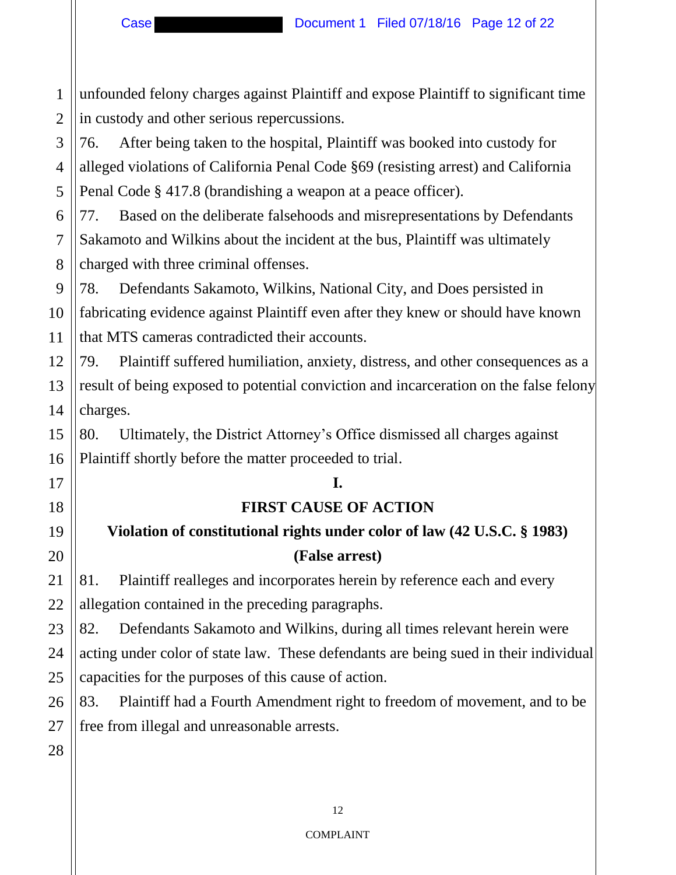1  $\mathcal{L}$ unfounded felony charges against Plaintiff and expose Plaintiff to significant time in custody and other serious repercussions.

3 4 5 76. After being taken to the hospital, Plaintiff was booked into custody for alleged violations of California Penal Code §69 (resisting arrest) and California Penal Code § 417.8 (brandishing a weapon at a peace officer).

6 7 8 77. Based on the deliberate falsehoods and misrepresentations by Defendants Sakamoto and Wilkins about the incident at the bus, Plaintiff was ultimately charged with three criminal offenses.

9 10 11 78. Defendants Sakamoto, Wilkins, National City, and Does persisted in fabricating evidence against Plaintiff even after they knew or should have known that MTS cameras contradicted their accounts.

12 13 14 79. Plaintiff suffered humiliation, anxiety, distress, and other consequences as a result of being exposed to potential conviction and incarceration on the false felony charges.

80. Ultimately, the District Attorney's Office dismissed all charges against Plaintiff shortly before the matter proceeded to trial.

#### **I.**

#### **FIRST CAUSE OF ACTION**

# **Violation of constitutional rights under color of law (42 U.S.C. § 1983) (False arrest)**

81. Plaintiff realleges and incorporates herein by reference each and every allegation contained in the preceding paragraphs.

23 24 25 82. Defendants Sakamoto and Wilkins, during all times relevant herein were acting under color of state law. These defendants are being sued in their individual capacities for the purposes of this cause of action.

26 83. Plaintiff had a Fourth Amendment right to freedom of movement, and to be free from illegal and unreasonable arrests.

27 28

15

16

17

18

19

20

21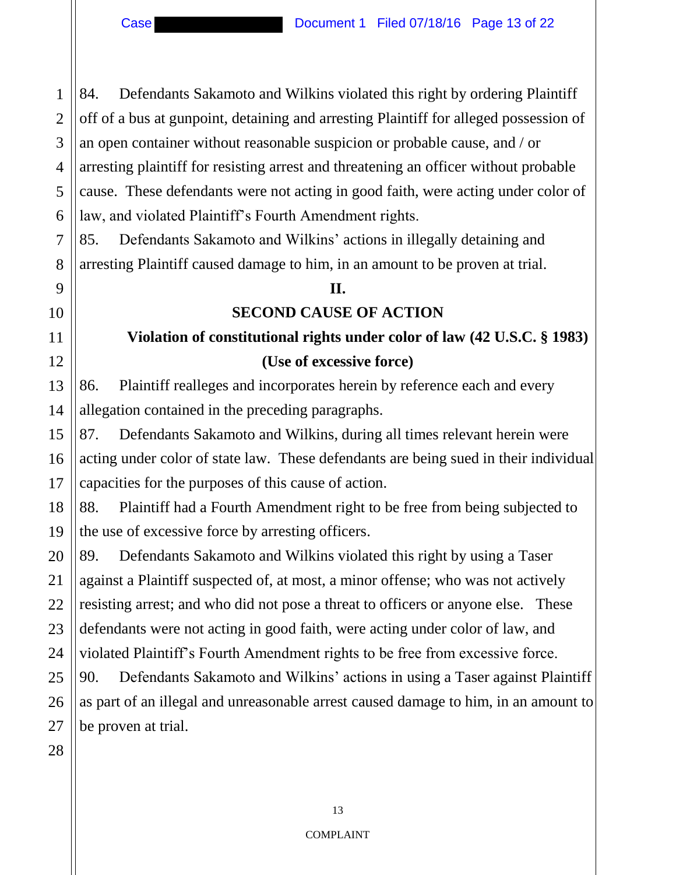$\mathcal{L}$ 

3

5

7

8

9

10

11

4 6 84. Defendants Sakamoto and Wilkins violated this right by ordering Plaintiff off of a bus at gunpoint, detaining and arresting Plaintiff for alleged possession of an open container without reasonable suspicion or probable cause, and / or arresting plaintiff for resisting arrest and threatening an officer without probable cause. These defendants were not acting in good faith, were acting under color of law, and violated Plaintiff's Fourth Amendment rights.

85. Defendants Sakamoto and Wilkins' actions in illegally detaining and arresting Plaintiff caused damage to him, in an amount to be proven at trial.

#### **II.**

#### **SECOND CAUSE OF ACTION**

# **Violation of constitutional rights under color of law (42 U.S.C. § 1983) (Use of excessive force)**

86. Plaintiff realleges and incorporates herein by reference each and every allegation contained in the preceding paragraphs.

87. Defendants Sakamoto and Wilkins, during all times relevant herein were acting under color of state law. These defendants are being sued in their individual capacities for the purposes of this cause of action.

88. Plaintiff had a Fourth Amendment right to be free from being subjected to the use of excessive force by arresting officers.

89. Defendants Sakamoto and Wilkins violated this right by using a Taser against a Plaintiff suspected of, at most, a minor offense; who was not actively resisting arrest; and who did not pose a threat to officers or anyone else. These defendants were not acting in good faith, were acting under color of law, and violated Plaintiff's Fourth Amendment rights to be free from excessive force.

90. Defendants Sakamoto and Wilkins' actions in using a Taser against Plaintiff as part of an illegal and unreasonable arrest caused damage to him, in an amount to be proven at trial.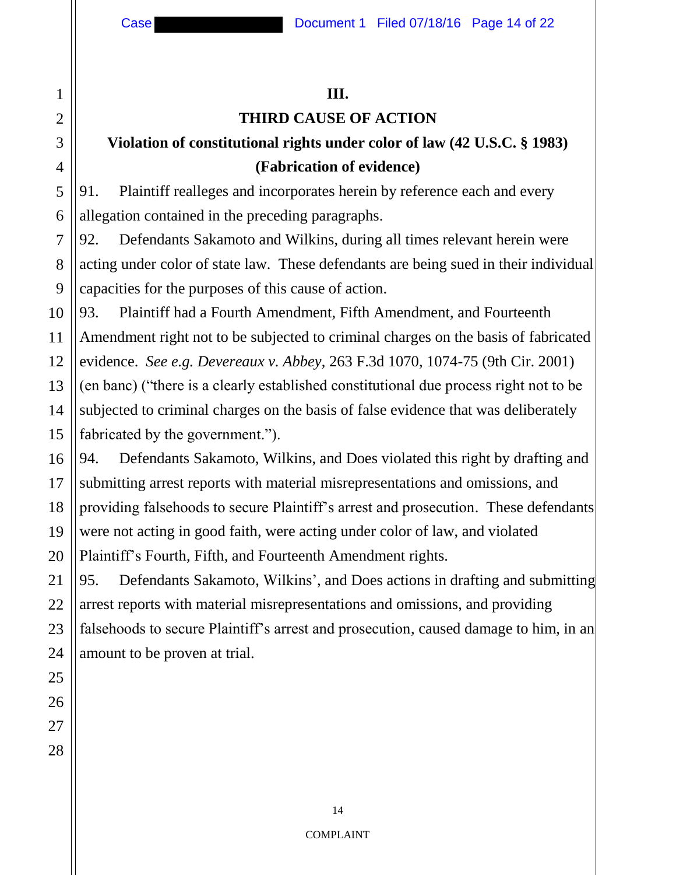2

3

4

5

6

7

8

9

#### **III.**

# **THIRD CAUSE OF ACTION**

# **Violation of constitutional rights under color of law (42 U.S.C. § 1983) (Fabrication of evidence)**

91. Plaintiff realleges and incorporates herein by reference each and every allegation contained in the preceding paragraphs.

92. Defendants Sakamoto and Wilkins, during all times relevant herein were acting under color of state law. These defendants are being sued in their individual capacities for the purposes of this cause of action.

10 11 12 13 14 93. Plaintiff had a Fourth Amendment, Fifth Amendment, and Fourteenth Amendment right not to be subjected to criminal charges on the basis of fabricated evidence. *See e.g. Devereaux v. Abbey*, 263 F.3d 1070, 1074-75 (9th Cir. 2001) (en banc) ("there is a clearly established constitutional due process right not to be subjected to criminal charges on the basis of false evidence that was deliberately fabricated by the government.").

94. Defendants Sakamoto, Wilkins, and Does violated this right by drafting and submitting arrest reports with material misrepresentations and omissions, and providing falsehoods to secure Plaintiff's arrest and prosecution. These defendants were not acting in good faith, were acting under color of law, and violated Plaintiff's Fourth, Fifth, and Fourteenth Amendment rights.

95. Defendants Sakamoto, Wilkins', and Does actions in drafting and submitting arrest reports with material misrepresentations and omissions, and providing falsehoods to secure Plaintiff's arrest and prosecution, caused damage to him, in an amount to be proven at trial.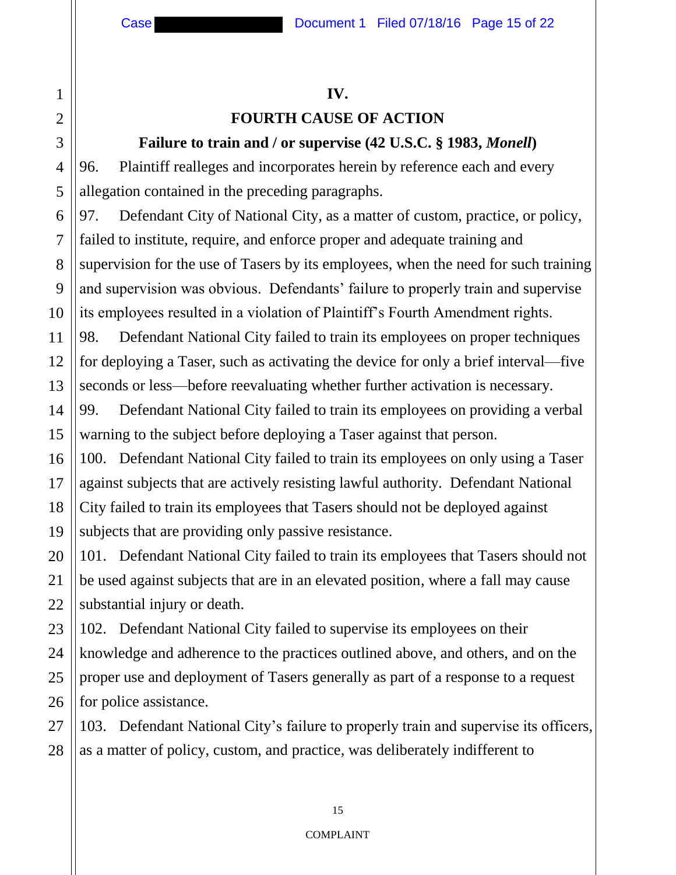#### **IV.**

#### **FOURTH CAUSE OF ACTION**

#### **Failure to train and / or supervise (42 U.S.C. § 1983,** *Monell***)**

96. Plaintiff realleges and incorporates herein by reference each and every allegation contained in the preceding paragraphs.

97. Defendant City of National City, as a matter of custom, practice, or policy, failed to institute, require, and enforce proper and adequate training and supervision for the use of Tasers by its employees, when the need for such training and supervision was obvious. Defendants' failure to properly train and supervise its employees resulted in a violation of Plaintiff's Fourth Amendment rights.

98. Defendant National City failed to train its employees on proper techniques for deploying a Taser, such as activating the device for only a brief interval—five seconds or less—before reevaluating whether further activation is necessary.

99. Defendant National City failed to train its employees on providing a verbal warning to the subject before deploying a Taser against that person.

100. Defendant National City failed to train its employees on only using a Taser against subjects that are actively resisting lawful authority. Defendant National City failed to train its employees that Tasers should not be deployed against subjects that are providing only passive resistance.

101. Defendant National City failed to train its employees that Tasers should not be used against subjects that are in an elevated position, where a fall may cause substantial injury or death.

102. Defendant National City failed to supervise its employees on their knowledge and adherence to the practices outlined above, and others, and on the proper use and deployment of Tasers generally as part of a response to a request for police assistance.

103. Defendant National City's failure to properly train and supervise its officers, as a matter of policy, custom, and practice, was deliberately indifferent to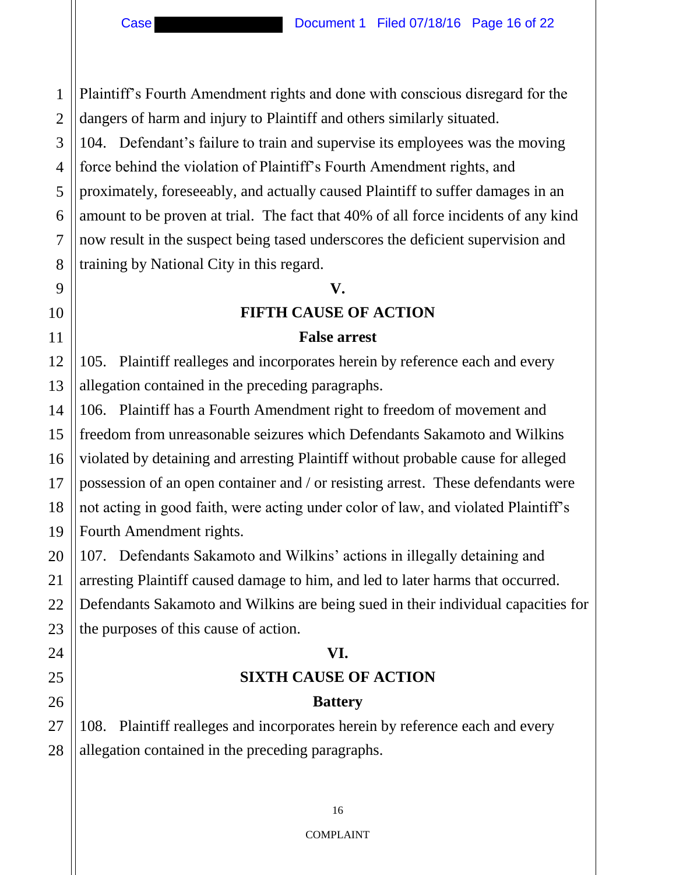Plaintiff's Fourth Amendment rights and done with conscious disregard for the dangers of harm and injury to Plaintiff and others similarly situated.

104. Defendant's failure to train and supervise its employees was the moving force behind the violation of Plaintiff's Fourth Amendment rights, and proximately, foreseeably, and actually caused Plaintiff to suffer damages in an amount to be proven at trial. The fact that 40% of all force incidents of any kind now result in the suspect being tased underscores the deficient supervision and training by National City in this regard.

#### **V.**

#### **FIFTH CAUSE OF ACTION**

#### **False arrest**

105. Plaintiff realleges and incorporates herein by reference each and every allegation contained in the preceding paragraphs.

106. Plaintiff has a Fourth Amendment right to freedom of movement and freedom from unreasonable seizures which Defendants Sakamoto and Wilkins violated by detaining and arresting Plaintiff without probable cause for alleged possession of an open container and / or resisting arrest. These defendants were not acting in good faith, were acting under color of law, and violated Plaintiff's Fourth Amendment rights.

107. Defendants Sakamoto and Wilkins' actions in illegally detaining and arresting Plaintiff caused damage to him, and led to later harms that occurred. Defendants Sakamoto and Wilkins are being sued in their individual capacities for the purposes of this cause of action.

#### **VI.**

# **SIXTH CAUSE OF ACTION**

#### **Battery**

108. Plaintiff realleges and incorporates herein by reference each and every allegation contained in the preceding paragraphs.

1

 $\mathcal{L}$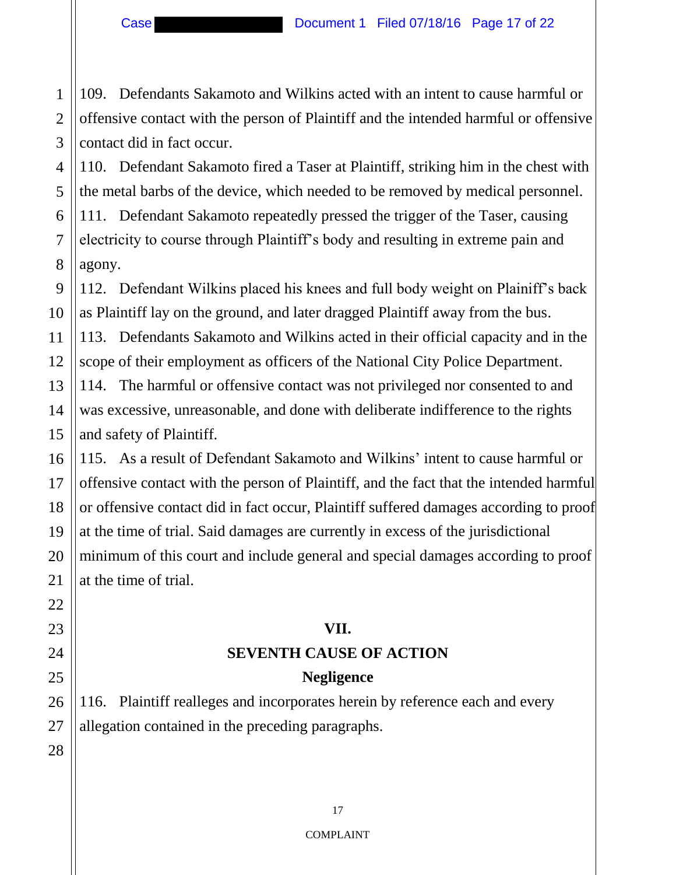Case **Document 1 Filed 07/18/16 Page 17 of 22** 

109. Defendants Sakamoto and Wilkins acted with an intent to cause harmful or offensive contact with the person of Plaintiff and the intended harmful or offensive contact did in fact occur.

110. Defendant Sakamoto fired a Taser at Plaintiff, striking him in the chest with the metal barbs of the device, which needed to be removed by medical personnel. 111. Defendant Sakamoto repeatedly pressed the trigger of the Taser, causing electricity to course through Plaintiff's body and resulting in extreme pain and agony.

112. Defendant Wilkins placed his knees and full body weight on Plainiff's back as Plaintiff lay on the ground, and later dragged Plaintiff away from the bus.

113. Defendants Sakamoto and Wilkins acted in their official capacity and in the scope of their employment as officers of the National City Police Department. 114. The harmful or offensive contact was not privileged nor consented to and was excessive, unreasonable, and done with deliberate indifference to the rights

and safety of Plaintiff.

115. As a result of Defendant Sakamoto and Wilkins' intent to cause harmful or offensive contact with the person of Plaintiff, and the fact that the intended harmful or offensive contact did in fact occur, Plaintiff suffered damages according to proof at the time of trial. Said damages are currently in excess of the jurisdictional minimum of this court and include general and special damages according to proof at the time of trial.

#### **VII.**

# **SEVENTH CAUSE OF ACTION**

#### **Negligence**

116. Plaintiff realleges and incorporates herein by reference each and every allegation contained in the preceding paragraphs.

1

 $\mathcal{L}$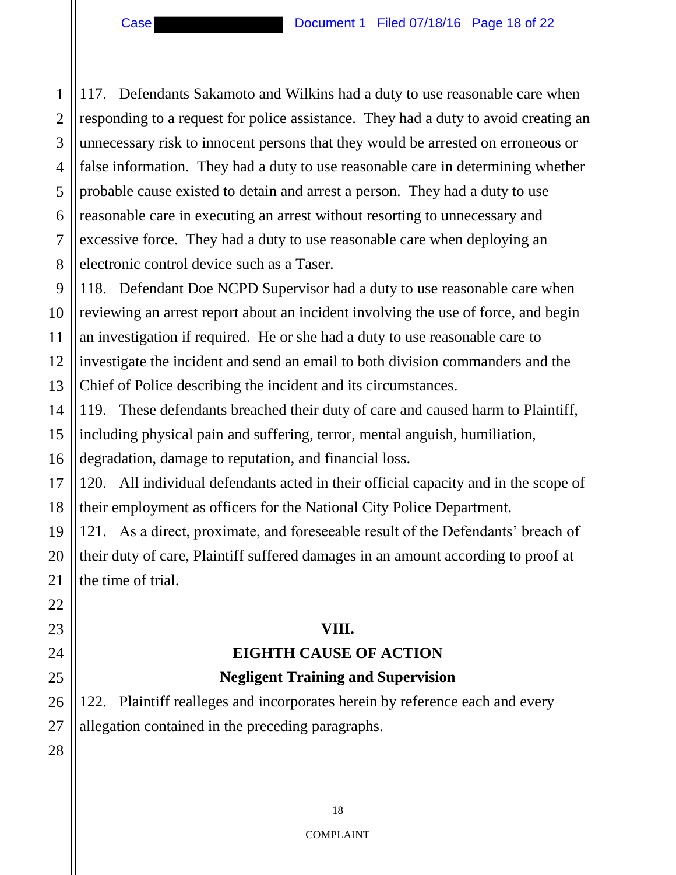$\mathcal{L}$ 3 117. Defendants Sakamoto and Wilkins had a duty to use reasonable care when responding to a request for police assistance. They had a duty to avoid creating an unnecessary risk to innocent persons that they would be arrested on erroneous or false information. They had a duty to use reasonable care in determining whether probable cause existed to detain and arrest a person. They had a duty to use reasonable care in executing an arrest without resorting to unnecessary and excessive force. They had a duty to use reasonable care when deploying an electronic control device such as a Taser.

118. Defendant Doe NCPD Supervisor had a duty to use reasonable care when reviewing an arrest report about an incident involving the use of force, and begin an investigation if required. He or she had a duty to use reasonable care to investigate the incident and send an email to both division commanders and the Chief of Police describing the incident and its circumstances.

119. These defendants breached their duty of care and caused harm to Plaintiff, including physical pain and suffering, terror, mental anguish, humiliation, degradation, damage to reputation, and financial loss.

120. All individual defendants acted in their official capacity and in the scope of their employment as officers for the National City Police Department.

121. As a direct, proximate, and foreseeable result of the Defendants' breach of their duty of care, Plaintiff suffered damages in an amount according to proof at the time of trial.

#### **VIII.**

# **EIGHTH CAUSE OF ACTION**

## **Negligent Training and Supervision**

122. Plaintiff realleges and incorporates herein by reference each and every allegation contained in the preceding paragraphs.

1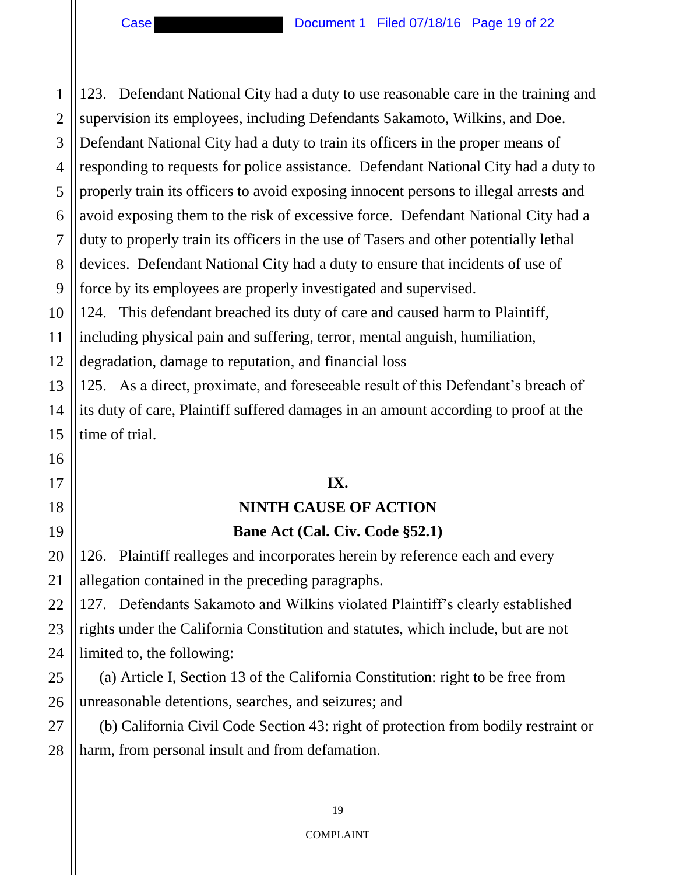123. Defendant National City had a duty to use reasonable care in the training and supervision its employees, including Defendants Sakamoto, Wilkins, and Doe. Defendant National City had a duty to train its officers in the proper means of responding to requests for police assistance. Defendant National City had a duty to properly train its officers to avoid exposing innocent persons to illegal arrests and avoid exposing them to the risk of excessive force. Defendant National City had a duty to properly train its officers in the use of Tasers and other potentially lethal devices. Defendant National City had a duty to ensure that incidents of use of force by its employees are properly investigated and supervised. 124. This defendant breached its duty of care and caused harm to Plaintiff, including physical pain and suffering, terror, mental anguish, humiliation, degradation, damage to reputation, and financial loss 125. As a direct, proximate, and foreseeable result of this Defendant's breach of its duty of care, Plaintiff suffered damages in an amount according to proof at the time of trial. **IX. NINTH CAUSE OF ACTION Bane Act (Cal. Civ. Code §52.1)**  126. Plaintiff realleges and incorporates herein by reference each and every allegation contained in the preceding paragraphs. 127. Defendants Sakamoto and Wilkins violated Plaintiff's clearly established rights under the California Constitution and statutes, which include, but are not limited to, the following: (a) Article I, Section 13 of the California Constitution: right to be free from unreasonable detentions, searches, and seizures; and

(b) California Civil Code Section 43: right of protection from bodily restraint or harm, from personal insult and from defamation.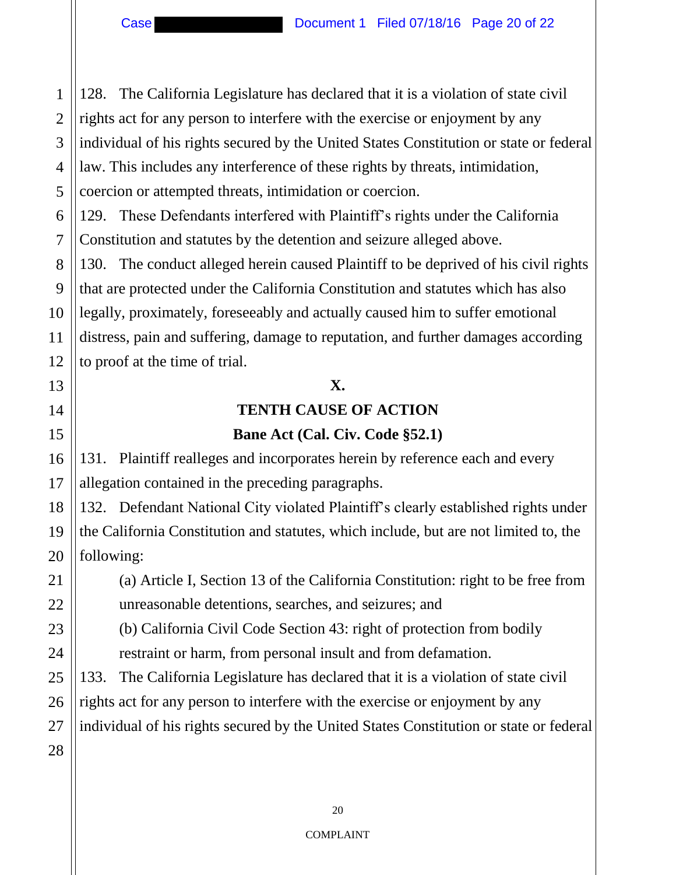1  $\mathcal{L}$ 3 4 5 128. The California Legislature has declared that it is a violation of state civil rights act for any person to interfere with the exercise or enjoyment by any individual of his rights secured by the United States Constitution or state or federal law. This includes any interference of these rights by threats, intimidation, coercion or attempted threats, intimidation or coercion.

129. These Defendants interfered with Plaintiff's rights under the California Constitution and statutes by the detention and seizure alleged above.

130. The conduct alleged herein caused Plaintiff to be deprived of his civil rights that are protected under the California Constitution and statutes which has also legally, proximately, foreseeably and actually caused him to suffer emotional distress, pain and suffering, damage to reputation, and further damages according to proof at the time of trial.

#### **X.**

# **TENTH CAUSE OF ACTION**

#### **Bane Act (Cal. Civ. Code §52.1)**

131. Plaintiff realleges and incorporates herein by reference each and every allegation contained in the preceding paragraphs.

132. Defendant National City violated Plaintiff's clearly established rights under the California Constitution and statutes, which include, but are not limited to, the following:

(a) Article I, Section 13 of the California Constitution: right to be free from unreasonable detentions, searches, and seizures; and

(b) California Civil Code Section 43: right of protection from bodily

restraint or harm, from personal insult and from defamation.

133. The California Legislature has declared that it is a violation of state civil

rights act for any person to interfere with the exercise or enjoyment by any

individual of his rights secured by the United States Constitution or state or federal

6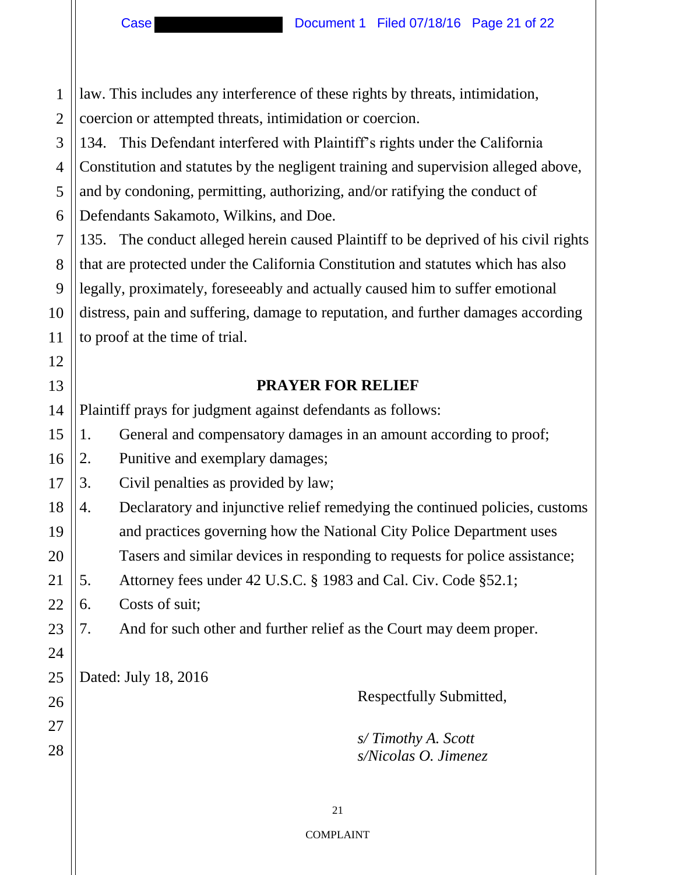Case Document 1 Filed 07/18/16 Page 21 of 22

7

8

9

10

11

12

13

23

24

26

27

28

1 2 law. This includes any interference of these rights by threats, intimidation, coercion or attempted threats, intimidation or coercion.

3 4 5 6 134. This Defendant interfered with Plaintiff's rights under the California Constitution and statutes by the negligent training and supervision alleged above, and by condoning, permitting, authorizing, and/or ratifying the conduct of Defendants Sakamoto, Wilkins, and Doe.

135. The conduct alleged herein caused Plaintiff to be deprived of his civil rights that are protected under the California Constitution and statutes which has also legally, proximately, foreseeably and actually caused him to suffer emotional distress, pain and suffering, damage to reputation, and further damages according to proof at the time of trial.

#### **PRAYER FOR RELIEF**

14 Plaintiff prays for judgment against defendants as follows:

15 1. General and compensatory damages in an amount according to proof;

16 2. Punitive and exemplary damages;

17 3. Civil penalties as provided by law;

18 19 4. Declaratory and injunctive relief remedying the continued policies, customs and practices governing how the National City Police Department uses

20 Tasers and similar devices in responding to requests for police assistance;

21 5. Attorney fees under 42 U.S.C. § 1983 and Cal. Civ. Code §52.1;

22 6. Costs of suit;

7. And for such other and further relief as the Court may deem proper.

25 Dated: July 18, 2016

Respectfully Submitted,

 *s/ Timothy A. Scott s/Nicolas O. Jimenez* 

21